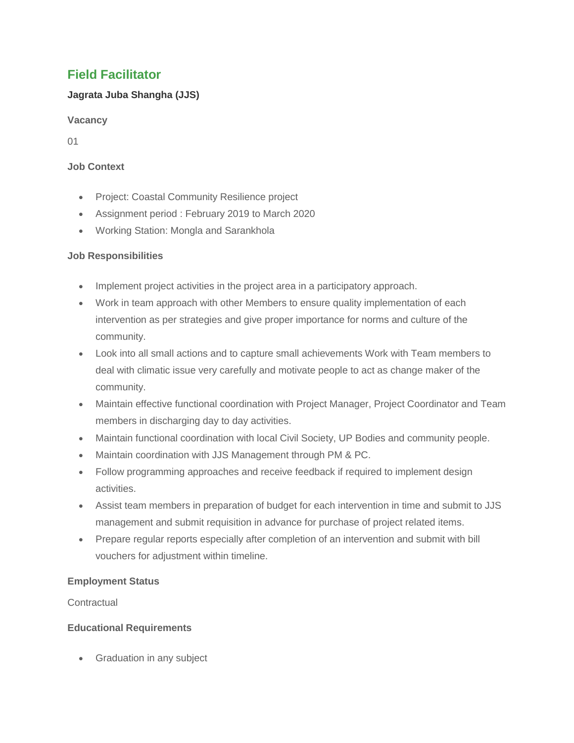# **Field Facilitator**

## **Jagrata Juba Shangha (JJS)**

**Vacancy**

01

### **Job Context**

- Project: Coastal Community Resilience project
- Assignment period : February 2019 to March 2020
- Working Station: Mongla and Sarankhola

## **Job Responsibilities**

- Implement project activities in the project area in a participatory approach.
- Work in team approach with other Members to ensure quality implementation of each intervention as per strategies and give proper importance for norms and culture of the community.
- Look into all small actions and to capture small achievements Work with Team members to deal with climatic issue very carefully and motivate people to act as change maker of the community.
- Maintain effective functional coordination with Project Manager, Project Coordinator and Team members in discharging day to day activities.
- Maintain functional coordination with local Civil Society, UP Bodies and community people.
- Maintain coordination with JJS Management through PM & PC.
- Follow programming approaches and receive feedback if required to implement design activities.
- Assist team members in preparation of budget for each intervention in time and submit to JJS management and submit requisition in advance for purchase of project related items.
- Prepare regular reports especially after completion of an intervention and submit with bill vouchers for adjustment within timeline.

## **Employment Status**

**Contractual** 

## **Educational Requirements**

• Graduation in any subject